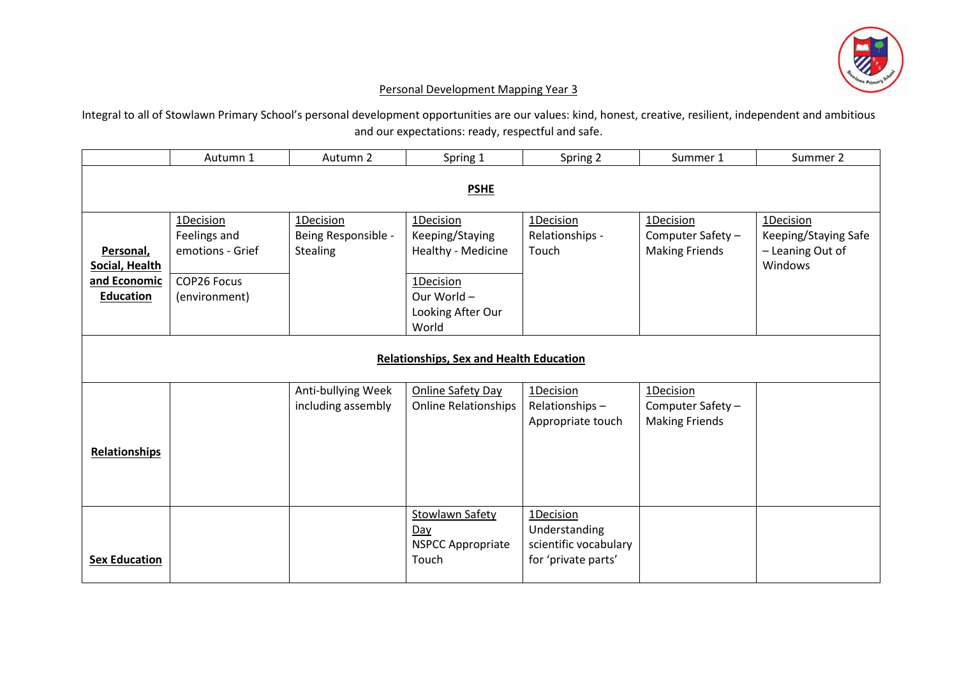

## Personal Development Mapping Year 3

Integral to all of Stowlawn Primary School's personal development opportunities are our values: kind, honest, creative, resilient, independent and ambitious and our expectations: ready, respectful and safe.

|                                                                 | Autumn 1                                                                      | Autumn 2                                            | Spring 1                                                                                                     | Spring 2                                                                   | Summer 1                                                | Summer 2                                                         |  |  |
|-----------------------------------------------------------------|-------------------------------------------------------------------------------|-----------------------------------------------------|--------------------------------------------------------------------------------------------------------------|----------------------------------------------------------------------------|---------------------------------------------------------|------------------------------------------------------------------|--|--|
| <b>PSHE</b>                                                     |                                                                               |                                                     |                                                                                                              |                                                                            |                                                         |                                                                  |  |  |
| Personal,<br>Social, Health<br>and Economic<br><b>Education</b> | 1Decision<br>Feelings and<br>emotions - Grief<br>COP26 Focus<br>(environment) | 1Decision<br>Being Responsible -<br><b>Stealing</b> | 1Decision<br>Keeping/Staying<br>Healthy - Medicine<br>1Decision<br>Our World -<br>Looking After Our<br>World | 1Decision<br>Relationships -<br>Touch                                      | 1Decision<br>Computer Safety -<br><b>Making Friends</b> | 1Decision<br>Keeping/Staying Safe<br>- Leaning Out of<br>Windows |  |  |
| <b>Relationships, Sex and Health Education</b>                  |                                                                               |                                                     |                                                                                                              |                                                                            |                                                         |                                                                  |  |  |
| <b>Relationships</b>                                            |                                                                               | Anti-bullying Week<br>including assembly            | <b>Online Safety Day</b><br><b>Online Relationships</b>                                                      | 1Decision<br>Relationships-<br>Appropriate touch                           | 1Decision<br>Computer Safety -<br><b>Making Friends</b> |                                                                  |  |  |
| <b>Sex Education</b>                                            |                                                                               |                                                     | <b>Stowlawn Safety</b><br>Day<br><b>NSPCC Appropriate</b><br>Touch                                           | 1Decision<br>Understanding<br>scientific vocabulary<br>for 'private parts' |                                                         |                                                                  |  |  |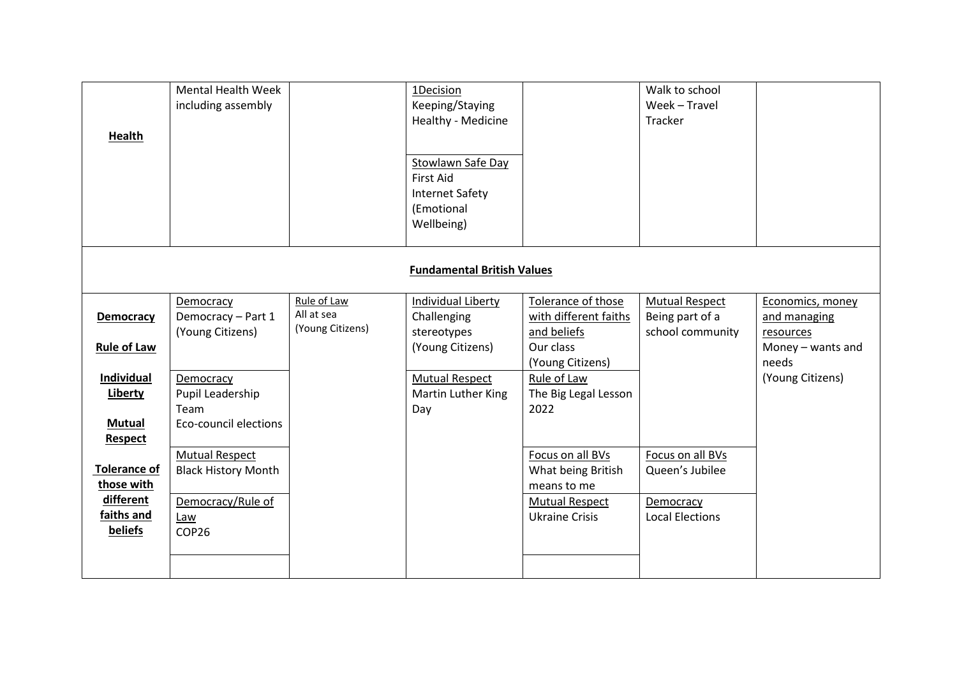| <b>Health</b>                                                                  | <b>Mental Health Week</b><br>including assembly                            |                                               | 1Decision<br>Keeping/Staying<br>Healthy - Medicine<br><b>Stowlawn Safe Day</b><br><b>First Aid</b><br><b>Internet Safety</b><br>(Emotional<br>Wellbeing) |                                                                                                            | Walk to school<br>Week - Travel<br>Tracker                   |                                                                                                 |  |  |
|--------------------------------------------------------------------------------|----------------------------------------------------------------------------|-----------------------------------------------|----------------------------------------------------------------------------------------------------------------------------------------------------------|------------------------------------------------------------------------------------------------------------|--------------------------------------------------------------|-------------------------------------------------------------------------------------------------|--|--|
| <b>Fundamental British Values</b>                                              |                                                                            |                                               |                                                                                                                                                          |                                                                                                            |                                                              |                                                                                                 |  |  |
| Democracy<br><b>Rule of Law</b><br>Individual                                  | Democracy<br>Democracy - Part 1<br>(Young Citizens)<br>Democracy           | Rule of Law<br>All at sea<br>(Young Citizens) | Individual Liberty<br>Challenging<br>stereotypes<br>(Young Citizens)<br><b>Mutual Respect</b>                                                            | Tolerance of those<br>with different faiths<br>and beliefs<br>Our class<br>(Young Citizens)<br>Rule of Law | <b>Mutual Respect</b><br>Being part of a<br>school community | Economics, money<br>and managing<br>resources<br>Money - wants and<br>needs<br>(Young Citizens) |  |  |
| Liberty<br><b>Mutual</b><br><b>Respect</b>                                     | Pupil Leadership<br>Team<br>Eco-council elections<br><b>Mutual Respect</b> |                                               | Martin Luther King<br>Day                                                                                                                                | The Big Legal Lesson<br>2022<br>Focus on all BVs                                                           | Focus on all BVs                                             |                                                                                                 |  |  |
| <b>Tolerance of</b><br>those with<br>different<br>faiths and<br><b>beliefs</b> | <b>Black History Month</b><br>Democracy/Rule of<br>Law<br>COP26            |                                               |                                                                                                                                                          | What being British<br>means to me<br><b>Mutual Respect</b><br><b>Ukraine Crisis</b>                        | Queen's Jubilee<br>Democracy<br><b>Local Elections</b>       |                                                                                                 |  |  |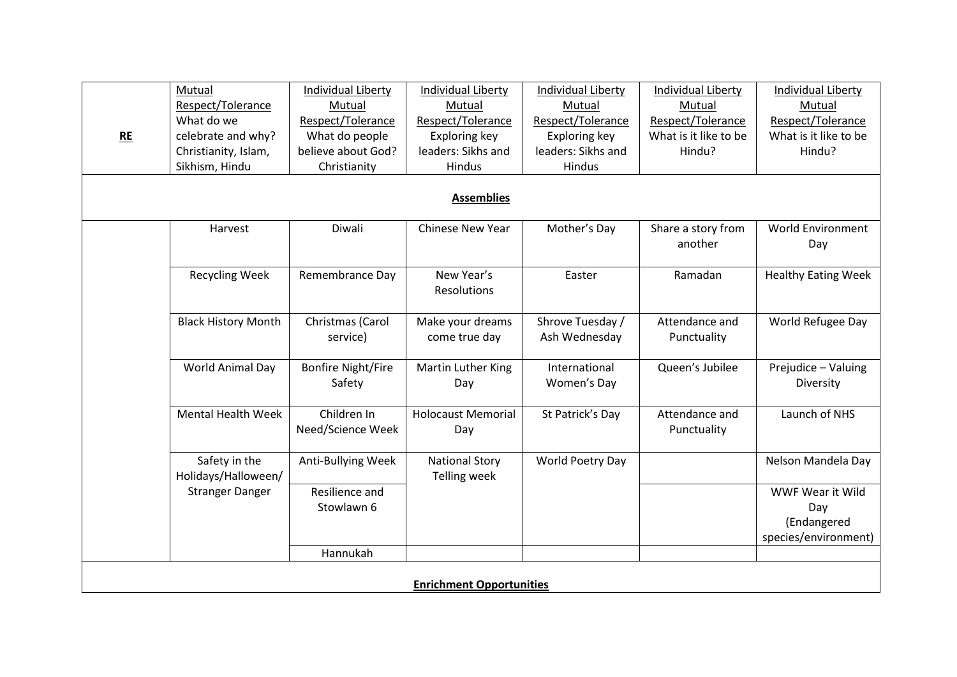|                                 | Mutual                     | Individual Liberty        | <b>Individual Liberty</b> | Individual Liberty | Individual Liberty    | <b>Individual Liberty</b>  |  |  |  |
|---------------------------------|----------------------------|---------------------------|---------------------------|--------------------|-----------------------|----------------------------|--|--|--|
|                                 | Respect/Tolerance          | Mutual                    | Mutual                    | Mutual             | Mutual                | Mutual                     |  |  |  |
|                                 | What do we                 | Respect/Tolerance         | Respect/Tolerance         | Respect/Tolerance  | Respect/Tolerance     | Respect/Tolerance          |  |  |  |
| RE                              | celebrate and why?         | What do people            | Exploring key             | Exploring key      | What is it like to be | What is it like to be      |  |  |  |
|                                 | Christianity, Islam,       | believe about God?        | leaders: Sikhs and        | leaders: Sikhs and | Hindu?                | Hindu?                     |  |  |  |
|                                 | Sikhism, Hindu             | Christianity              | Hindus                    | Hindus             |                       |                            |  |  |  |
|                                 |                            |                           |                           |                    |                       |                            |  |  |  |
| <b>Assemblies</b>               |                            |                           |                           |                    |                       |                            |  |  |  |
|                                 | Harvest                    | Diwali                    | Chinese New Year          | Mother's Day       | Share a story from    | <b>World Environment</b>   |  |  |  |
|                                 |                            |                           |                           |                    | another               | Day                        |  |  |  |
|                                 | <b>Recycling Week</b>      | Remembrance Day           | New Year's                | Easter             | Ramadan               | <b>Healthy Eating Week</b> |  |  |  |
|                                 |                            |                           | Resolutions               |                    |                       |                            |  |  |  |
|                                 |                            |                           |                           |                    |                       |                            |  |  |  |
|                                 | <b>Black History Month</b> | Christmas (Carol          | Make your dreams          | Shrove Tuesday /   | Attendance and        | World Refugee Day          |  |  |  |
|                                 |                            | service)                  | come true day             | Ash Wednesday      | Punctuality           |                            |  |  |  |
|                                 | World Animal Day           | <b>Bonfire Night/Fire</b> | Martin Luther King        | International      | Queen's Jubilee       | Prejudice - Valuing        |  |  |  |
|                                 |                            | Safety                    | Day                       | Women's Day        |                       | Diversity                  |  |  |  |
|                                 |                            |                           |                           |                    |                       |                            |  |  |  |
|                                 | <b>Mental Health Week</b>  | Children In               | <b>Holocaust Memorial</b> | St Patrick's Day   | Attendance and        | Launch of NHS              |  |  |  |
|                                 |                            | Need/Science Week         | Day                       |                    | Punctuality           |                            |  |  |  |
|                                 | Safety in the              | Anti-Bullying Week        | <b>National Story</b>     | World Poetry Day   |                       | Nelson Mandela Day         |  |  |  |
|                                 | Holidays/Halloween/        |                           | <b>Telling week</b>       |                    |                       |                            |  |  |  |
|                                 | <b>Stranger Danger</b>     | Resilience and            |                           |                    |                       | WWF Wear it Wild           |  |  |  |
|                                 |                            | Stowlawn 6                |                           |                    |                       | Day                        |  |  |  |
|                                 |                            |                           |                           |                    |                       | (Endangered                |  |  |  |
|                                 |                            |                           |                           |                    |                       | species/environment)       |  |  |  |
|                                 |                            | Hannukah                  |                           |                    |                       |                            |  |  |  |
|                                 |                            |                           |                           |                    |                       |                            |  |  |  |
| <b>Enrichment Opportunities</b> |                            |                           |                           |                    |                       |                            |  |  |  |